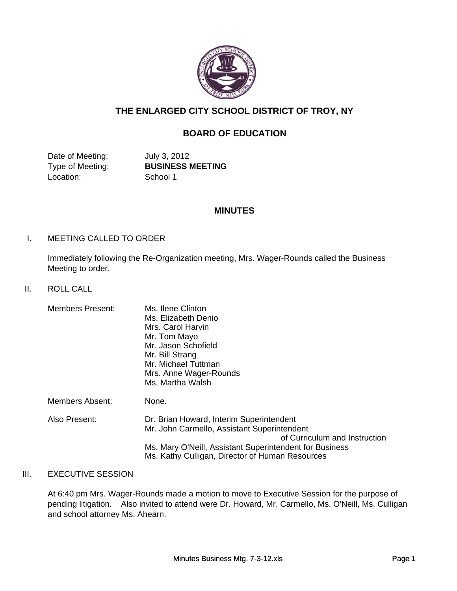

# **THE ENLARGED CITY SCHOOL DISTRICT OF TROY, NY**

# **BOARD OF EDUCATION**

Date of Meeting: July 3, 2012 Location: School 1

Type of Meeting: **BUSINESS MEETING**

# **MINUTES**

# I. MEETING CALLED TO ORDER

Immediately following the Re-Organization meeting, Mrs. Wager-Rounds called the Business Meeting to order.

# II. ROLL CALL

| <b>Members Present:</b> | Ms. Ilene Clinton<br>Ms. Elizabeth Denio<br>Mrs. Carol Harvin<br>Mr. Tom Mayo<br>Mr. Jason Schofield<br>Mr. Bill Strang<br>Mr. Michael Tuttman<br>Mrs. Anne Wager-Rounds<br>Ms. Martha Walsh                                           |
|-------------------------|----------------------------------------------------------------------------------------------------------------------------------------------------------------------------------------------------------------------------------------|
| Members Absent:         | None.                                                                                                                                                                                                                                  |
| Also Present:           | Dr. Brian Howard, Interim Superintendent<br>Mr. John Carmello, Assistant Superintendent<br>of Curriculum and Instruction<br>Ms. Mary O'Neill, Assistant Superintendent for Business<br>Ms. Kathy Culligan, Director of Human Resources |

# III. EXECUTIVE SESSION

At 6:40 pm Mrs. Wager-Rounds made a motion to move to Executive Session for the purpose of pending litigation. Also invited to attend were Dr. Howard, Mr. Carmello, Ms. O'Neill, Ms. Culligan and school attorney Ms. Ahearn.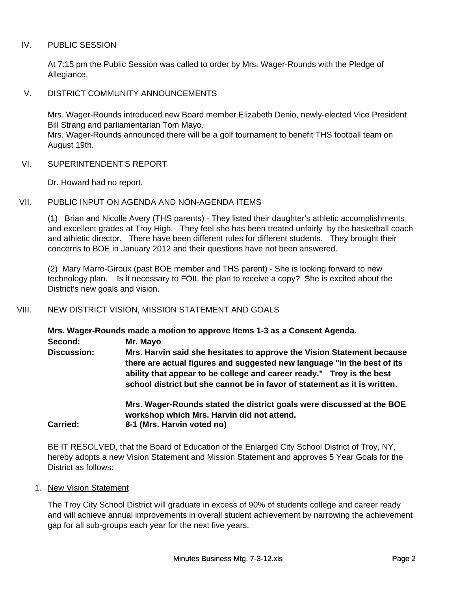# IV. PUBLIC SESSION

At 7:15 pm the Public Session was called to order by Mrs. Wager-Rounds with the Pledge of Allegiance.

V. DISTRICT COMMUNITY ANNOUNCEMENTS

Mrs. Wager-Rounds introduced new Board member Elizabeth Denio, newly-elected Vice President Bill Strang and parliamentarian Tom Mayo.

Mrs. Wager-Rounds announced there will be a golf tournament to benefit THS football team on August 19th.

VI. SUPERINTENDENT'S REPORT

Dr. Howard had no report.

VII. PUBLIC INPUT ON AGENDA AND NON-AGENDA ITEMS

(1) Brian and Nicolle Avery (THS parents) - They listed their daughter's athletic accomplishments and excellent grades at Troy High. They feel she has been treated unfairly by the basketball coach and athletic director. There have been different rules for different students. They brought their concerns to BOE in January 2012 and their questions have not been answered.

(2) Mary Marro-Giroux (past BOE member and THS parent) - She is looking forward to new technology plan. Is it necessary to FOIL the plan to receive a copy? She is excited about the District's new goals and vision.

# VIII. NEW DISTRICT VISION, MISSION STATEMENT AND GOALS

**Mrs. Wager-Rounds made a motion to approve Items 1-3 as a Consent Agenda.**

**Second: Mr. Mayo**

**Mrs. Harvin said she hesitates to approve the Vision Statement because there are actual figures and suggested new language "in the best of its ability that appear to be college and career ready." Troy is the best school district but she cannot be in favor of statement as it is written. Discussion:**

**Mrs. Wager-Rounds stated the district goals were discussed at the BOE workshop which Mrs. Harvin did not attend. Carried: 8-1 (Mrs. Harvin voted no)**

BE IT RESOLVED, that the Board of Education of the Enlarged City School District of Troy, NY, hereby adopts a new Vision Statement and Mission Statement and approves 5 Year Goals for the District as follows:

1. New Vision Statement

The Troy City School District will graduate in excess of 90% of students college and career ready and will achieve annual improvements in overall student achievement by narrowing the achievement gap for all sub-groups each year for the next five years.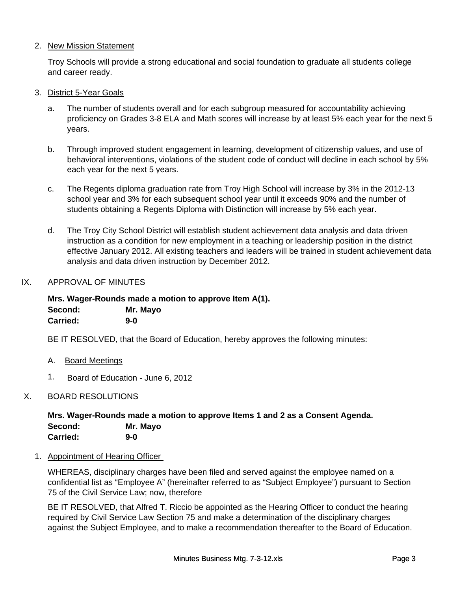# 2. New Mission Statement

Troy Schools will provide a strong educational and social foundation to graduate all students college and career ready.

- 3. District 5-Year Goals
	- a. The number of students overall and for each subgroup measured for accountability achieving proficiency on Grades 3-8 ELA and Math scores will increase by at least 5% each year for the next 5 years.
	- b. Through improved student engagement in learning, development of citizenship values, and use of behavioral interventions, violations of the student code of conduct will decline in each school by 5% each year for the next 5 years.
	- c. The Regents diploma graduation rate from Troy High School will increase by 3% in the 2012-13 school year and 3% for each subsequent school year until it exceeds 90% and the number of students obtaining a Regents Diploma with Distinction will increase by 5% each year.
	- d. The Troy City School District will establish student achievement data analysis and data driven instruction as a condition for new employment in a teaching or leadership position in the district effective January 2012. All existing teachers and leaders will be trained in student achievement data analysis and data driven instruction by December 2012.
- IX. APPROVAL OF MINUTES

**Mrs. Wager-Rounds made a motion to approve Item A(1). Second: Mr. Mayo Carried: 9-0**

BE IT RESOLVED, that the Board of Education, hereby approves the following minutes:

- A. Board Meetings
- 1. Board of Education June 6, 2012

# X. BOARD RESOLUTIONS

**Mrs. Wager-Rounds made a motion to approve Items 1 and 2 as a Consent Agenda. Second: Mr. Mayo Carried: 9-0**

1. Appointment of Hearing Officer

WHEREAS, disciplinary charges have been filed and served against the employee named on a confidential list as "Employee A" (hereinafter referred to as "Subject Employee") pursuant to Section 75 of the Civil Service Law; now, therefore

BE IT RESOLVED, that Alfred T. Riccio be appointed as the Hearing Officer to conduct the hearing required by Civil Service Law Section 75 and make a determination of the disciplinary charges against the Subject Employee, and to make a recommendation thereafter to the Board of Education.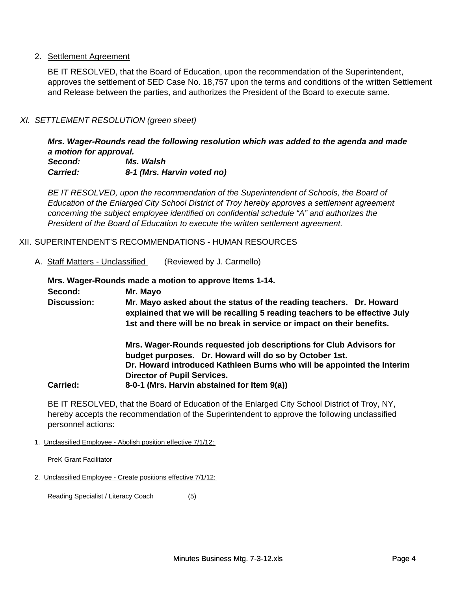## 2. Settlement Agreement

BE IT RESOLVED, that the Board of Education, upon the recommendation of the Superintendent, approves the settlement of SED Case No. 18,757 upon the terms and conditions of the written Settlement and Release between the parties, and authorizes the President of the Board to execute same.

## *XI. SETTLEMENT RESOLUTION (green sheet)*

*Mrs. Wager-Rounds read the following resolution which was added to the agenda and made a motion for approval.*

*Carried: 8-1 (Mrs. Harvin voted no) Second: Ms. Walsh*

*BE IT RESOLVED, upon the recommendation of the Superintendent of Schools, the Board of Education of the Enlarged City School District of Troy hereby approves a settlement agreement concerning the subject employee identified on confidential schedule "A" and authorizes the President of the Board of Education to execute the written settlement agreement.*

## XII. SUPERINTENDENT'S RECOMMENDATIONS - HUMAN RESOURCES

A. Staff Matters - Unclassified (Reviewed by J. Carmello)

**Mrs. Wager-Rounds made a motion to approve Items 1-14.**

**Second: Mr. Mayo**

**Mr. Mayo asked about the status of the reading teachers. Dr. Howard explained that we will be recalling 5 reading teachers to be effective July 1st and there will be no break in service or impact on their benefits. Discussion:**

**Mrs. Wager-Rounds requested job descriptions for Club Advisors for budget purposes. Dr. Howard will do so by October 1st. Dr. Howard introduced Kathleen Burns who will be appointed the Interim Director of Pupil Services. Carried: 8-0-1 (Mrs. Harvin abstained for Item 9(a))**

BE IT RESOLVED, that the Board of Education of the Enlarged City School District of Troy, NY, hereby accepts the recommendation of the Superintendent to approve the following unclassified personnel actions:

1. Unclassified Employee - Abolish position effective 7/1/12:

PreK Grant Facilitator

2. Unclassified Employee - Create positions effective 7/1/12:

Reading Specialist / Literacy Coach (5)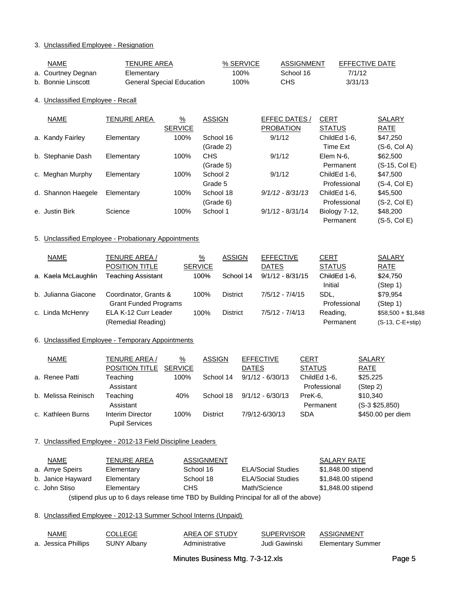## 3. Unclassified Employee - Resignation

| NAME               | TENURE AREA               | % SERVICE | ASSIGNMENT | EFFECTIVE DATE |
|--------------------|---------------------------|-----------|------------|----------------|
| a. Courtney Degnan | Elementary                | 100%      | School 16  | 7/1/12         |
| b. Bonnie Linscott | General Special Education | 100%      | <b>CHS</b> | 3/31/13        |

#### 4. Unclassified Employee - Recall

| NAME               | <b>TENURE AREA</b> | $\frac{9}{6}$  | <b>ASSIGN</b> | EFFEC DATES /      | <b>CERT</b>   | <b>SALARY</b>   |
|--------------------|--------------------|----------------|---------------|--------------------|---------------|-----------------|
|                    |                    | <b>SERVICE</b> |               | <b>PROBATION</b>   | <b>STATUS</b> | RATE            |
| a. Kandy Fairley   | Elementary         | 100%           | School 16     | 9/1/12             | ChildEd 1-6,  | \$47,250        |
|                    |                    |                | (Grade 2)     |                    | Time Ext      | $(S-6, Col A)$  |
| b. Stephanie Dash  | Elementary         | 100%           | <b>CHS</b>    | 9/1/12             | Elem N-6.     | \$62,500        |
|                    |                    |                | (Grade 5)     |                    | Permanent     | $(S-15, Col E)$ |
| c. Meghan Murphy   | Elementary         | 100%           | School 2      | 9/1/12             | ChildEd 1-6.  | \$47,500        |
|                    |                    |                | Grade 5       |                    | Professional  | $(S-4, Col E)$  |
| d. Shannon Haegele | Elementary         | 100%           | School 18     | $9/1/12 - 8/31/13$ | ChildEd 1-6.  | \$45,500        |
|                    |                    |                | (Grade 6)     |                    | Professional  | $(S-2, Col E)$  |
| e. Justin Birk     | Science            | 100%           | School 1      | $9/1/12 - 8/31/14$ | Biology 7-12, | \$48,200        |
|                    |                    |                |               |                    | Permanent     | $(S-5, Col E)$  |

#### 5. Unclassified Employee - Probationary Appointments

| <b>NAME</b>         | TENURE AREA /                | $\frac{9}{6}$  | <b>ASSIGN</b>   | <b>EFFECTIVE</b>   | <b>CERT</b>   | <b>SALARY</b>      |
|---------------------|------------------------------|----------------|-----------------|--------------------|---------------|--------------------|
|                     | <b>POSITION TITLE</b>        | <b>SERVICE</b> |                 | <b>DATES</b>       | <b>STATUS</b> | <b>RATE</b>        |
| a. Kaela McLaughlin | <b>Teaching Assistant</b>    | 100%           | School 14       | $9/1/12 - 8/31/15$ | ChildEd 1-6.  | \$24,750           |
|                     |                              |                |                 |                    | Initial       | (Step 1)           |
| b. Julianna Giacone | Coordinator, Grants &        | 100%           | <b>District</b> | $7/5/12 - 7/4/15$  | SDL.          | \$79.954           |
|                     | <b>Grant Funded Programs</b> |                |                 |                    | Professional  | (Step 1)           |
| c. Linda McHenry    | ELA K-12 Curr Leader         | 100%           | <b>District</b> | $7/5/12 - 7/4/13$  | Reading,      | $$58,500 + $1,848$ |
|                     | (Remedial Reading)           |                |                 |                    | Permanent     | $(S-13, C-E+stip)$ |

### 6. Unclassified Employee - Temporary Appointments

| NAME                | <b>TENURE AREA /</b>  | %              | <b>ASSIGN</b>   | <b>EFFECTIVE</b>   | <b>CERT</b>   | <b>SALARY</b>     |
|---------------------|-----------------------|----------------|-----------------|--------------------|---------------|-------------------|
|                     | POSITION TITLE        | <b>SERVICE</b> |                 | <b>DATES</b>       | <b>STATUS</b> | RATE              |
| a. Renee Patti      | Teaching              | 100%           | School 14       | $9/1/12 - 6/30/13$ | ChildEd 1-6,  | \$25,225          |
|                     | Assistant             |                |                 |                    | Professional  | (Step 2)          |
| b. Melissa Reinisch | Teaching              | 40%            | School 18       | $9/1/12 - 6/30/13$ | PreK-6.       | \$10,340          |
|                     | Assistant             |                |                 |                    | Permanent     | $(S-3 $25,850)$   |
| c. Kathleen Burns   | Interim Director      | 100%           | <b>District</b> | 7/9/12-6/30/13     | <b>SDA</b>    | \$450.00 per diem |
|                     | <b>Pupil Services</b> |                |                 |                    |               |                   |

#### 7. Unclassified Employee - 2012-13 Field Discipline Leaders

| NAME                                                                                    | <b>TENURE AREA</b> | <b>ASSIGNMENT</b> |                           | SALARY RATE        |  |
|-----------------------------------------------------------------------------------------|--------------------|-------------------|---------------------------|--------------------|--|
| a. Amye Speirs                                                                          | Elementary         | School 16         | <b>ELA/Social Studies</b> | \$1,848.00 stipend |  |
| b. Janice Hayward                                                                       | Elementary         | School 18         | <b>ELA/Social Studies</b> | \$1,848.00 stipend |  |
| c. John Stiso                                                                           | Elementary         | CHS               | Math/Science              | \$1,848.00 stipend |  |
| (stipend plus up to 6 days release time TBD by Building Principal for all of the above) |                    |                   |                           |                    |  |

#### 8. Unclassified Employee - 2012-13 Summer School Interns (Unpaid)

| NAME                | COLLEGE            | AREA OF STUDY  | <b>SUPERVISOR</b> | ASSIGNMENT        |
|---------------------|--------------------|----------------|-------------------|-------------------|
| a. Jessica Phillips | <b>SUNY Albany</b> | Administrative | Judi Gawinski     | Elementary Summer |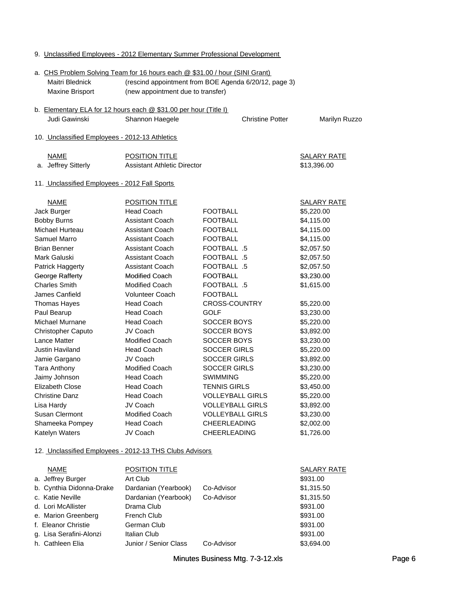| <b>Maxine Brisport</b>                                           | (new appointment due to transfer)  |                         |                    |
|------------------------------------------------------------------|------------------------------------|-------------------------|--------------------|
| b. Elementary ELA for 12 hours each @ \$31.00 per hour (Title I) |                                    |                         |                    |
| Judi Gawinski                                                    | Shannon Haegele                    | <b>Christine Potter</b> | Marilyn Ruzzo      |
| 10. Unclassified Employees - 2012-13 Athletics                   |                                    |                         |                    |
| <b>NAME</b>                                                      | <b>POSITION TITLE</b>              |                         | <b>SALARY RATE</b> |
| a. Jeffrey Sitterly                                              | <b>Assistant Athletic Director</b> |                         | \$13,396.00        |
| 11. Unclassified Employees - 2012 Fall Sports                    |                                    |                         |                    |
| <b>NAME</b>                                                      | <b>POSITION TITLE</b>              |                         | <u>SALARY RATE</u> |
| Jack Burger                                                      | <b>Head Coach</b>                  | <b>FOOTBALL</b>         | \$5,220.00         |
| <b>Bobby Burns</b>                                               | <b>Assistant Coach</b>             | <b>FOOTBALL</b>         | \$4,115.00         |
| Michael Hurteau                                                  | <b>Assistant Coach</b>             | <b>FOOTBALL</b>         | \$4,115.00         |
| Samuel Marro                                                     | <b>Assistant Coach</b>             | <b>FOOTBALL</b>         | \$4,115.00         |
| <b>Brian Benner</b>                                              | Assistant Coach                    | FOOTBALL .5             | \$2,057.50         |
| Mark Galuski                                                     | <b>Assistant Coach</b>             | FOOTBALL .5             | \$2,057.50         |
| Patrick Haggerty                                                 | Assistant Coach                    | FOOTBALL .5             | \$2,057.50         |
| George Rafferty                                                  | <b>Modified Coach</b>              | <b>FOOTBALL</b>         | \$3,230.00         |
| <b>Charles Smith</b>                                             | <b>Modified Coach</b>              | FOOTBALL .5             | \$1,615.00         |
| James Canfield                                                   | Volunteer Coach                    | <b>FOOTBALL</b>         |                    |
| Thomas Hayes                                                     | <b>Head Coach</b>                  | CROSS-COUNTRY           | \$5,220.00         |
| Paul Bearup                                                      | <b>Head Coach</b>                  | <b>GOLF</b>             | \$3,230.00         |
| Michael Murnane                                                  | <b>Head Coach</b>                  | SOCCER BOYS             | \$5,220.00         |
| Christopher Caputo                                               | JV Coach                           | SOCCER BOYS             | \$3,892.00         |
| Lance Matter                                                     | <b>Modified Coach</b>              | SOCCER BOYS             | \$3,230.00         |
| Justin Haviland                                                  | <b>Head Coach</b>                  | <b>SOCCER GIRLS</b>     | \$5,220.00         |
| Jamie Gargano                                                    | JV Coach                           | <b>SOCCER GIRLS</b>     | \$3,892.00         |
| Tara Anthony                                                     | <b>Modified Coach</b>              | <b>SOCCER GIRLS</b>     | \$3,230.00         |
| Jaimy Johnson                                                    | <b>Head Coach</b>                  | <b>SWIMMING</b>         | \$5,220.00         |
| <b>Elizabeth Close</b>                                           | <b>Head Coach</b>                  | <b>TENNIS GIRLS</b>     | \$3,450.00         |
| <b>Christine Danz</b>                                            | <b>Head Coach</b>                  | <b>VOLLEYBALL GIRLS</b> | \$5,220.00         |
| Lisa Hardy                                                       | JV Coach                           | <b>VOLLEYBALL GIRLS</b> | \$3,892.00         |
| Susan Clermont                                                   | <b>Modified Coach</b>              | <b>VOLLEYBALL GIRLS</b> | \$3,230.00         |
| Shameeka Pompey                                                  | Head Coach                         | CHEERLEADING            | \$2,002.00         |
| Katelyn Waters                                                   | JV Coach                           | <b>CHEERLEADING</b>     | \$1,726.00         |
| 12. Unclassified Employees - 2012-13 THS Clubs Advisors          |                                    |                         |                    |
| <b>NAME</b>                                                      | <b>POSITION TITLE</b>              |                         | <b>SALARY RATE</b> |
| a. Jeffrey Burger                                                | Art Club                           |                         | \$931.00           |
| b. Cynthia Didonna-Drake                                         | Dardanian (Yearbook)               | Co-Advisor              | \$1,315.50         |
| c. Katie Neville                                                 | Dardanian (Yearbook)               | Co-Advisor              | \$1,315.50         |
| d. Lori McAllister                                               | Drama Club                         |                         | \$931.00           |
| e. Marion Greenberg                                              | <b>French Club</b>                 |                         | \$931.00           |
| f. Eleanor Christie                                              | German Club                        |                         | \$931.00           |
| g. Lisa Serafini-Alonzi                                          | Italian Club                       |                         | \$931.00           |
| h. Cathleen Elia                                                 | Junior / Senior Class              | Co-Advisor              | \$3,694.00         |

#### 9. Unclassified Employees - 2012 Elementary Summer Professional Development

Maitri Blednick (rescind appointment from BOE Agenda 6/20/12, page 3)

a. CHS Problem Solving Team for 16 hours each @ \$31.00 / hour (SINI Grant)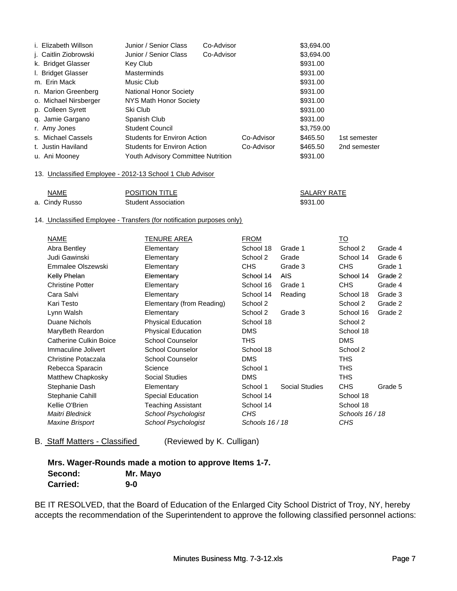| i. Elizabeth Willson  | Junior / Senior Class              | Co-Advisor | \$3,694.00 |              |
|-----------------------|------------------------------------|------------|------------|--------------|
| j. Caitlin Ziobrowski | Junior / Senior Class              | Co-Advisor | \$3,694.00 |              |
| k. Bridget Glasser    | Key Club                           |            | \$931.00   |              |
| I. Bridget Glasser    | <b>Masterminds</b>                 |            | \$931.00   |              |
| m. Erin Mack          | Music Club                         |            | \$931.00   |              |
| n. Marion Greenberg   | <b>National Honor Society</b>      |            | \$931.00   |              |
| o. Michael Nirsberger | NYS Math Honor Society             |            | \$931.00   |              |
| p. Colleen Syrett     | \$931.00<br>Ski Club               |            |            |              |
| q. Jamie Gargano      | Spanish Club                       |            | \$931.00   |              |
| r. Amy Jones          | <b>Student Council</b>             |            | \$3,759.00 |              |
| s. Michael Cassels    | Students for Environ Action        | Co-Advisor | \$465.50   | 1st semester |
| t. Justin Haviland    | Students for Environ Action        | Co-Advisor | \$465.50   | 2nd semester |
| u. Ani Mooney         | Youth Advisory Committee Nutrition |            | \$931.00   |              |

### 13. Unclassified Employee - 2012-13 School 1 Club Advisor

| <b>NAME</b>     | <b>POSITION TITLE</b>      | SALARY RATE |
|-----------------|----------------------------|-------------|
| a.  Cindy Russo | <b>Student Association</b> | \$931.00    |

#### 14. Unclassified Employee - Transfers (for notification purposes only)

| NAME                    | TENURE AREA               | <b>FROM</b>     |                       | <u>TO</u>       |         |
|-------------------------|---------------------------|-----------------|-----------------------|-----------------|---------|
| Abra Bentley            | Elementary                | School 18       | Grade 1               | School 2        | Grade 4 |
| Judi Gawinski           | Elementary                | School 2        | Grade                 | School 14       | Grade 6 |
| Emmalee Olszewski       | Elementary                | <b>CHS</b>      | Grade 3               | CHS             | Grade 1 |
| Kelly Phelan            | Elementary                | School 14       | <b>AIS</b>            | School 14       | Grade 2 |
| <b>Christine Potter</b> | Elementary                | School 16       | Grade 1               | CHS             | Grade 4 |
| Cara Salvi              | Elementary                | School 14       | Reading               | School 18       | Grade 3 |
| Kari Testo              | Elementary (from Reading) | School 2        |                       | School 2        | Grade 2 |
| Lynn Walsh              | Elementary                | School 2        | Grade 3               | School 16       | Grade 2 |
| Duane Nichols           | <b>Physical Education</b> | School 18       |                       | School 2        |         |
| MaryBeth Reardon        | <b>Physical Education</b> | <b>DMS</b>      |                       | School 18       |         |
| Catherine Culkin Boice  | <b>School Counselor</b>   | THS             |                       | <b>DMS</b>      |         |
| Immaculine Jolivert     | <b>School Counselor</b>   | School 18       |                       | School 2        |         |
| Christine Potaczala     | <b>School Counselor</b>   | <b>DMS</b>      |                       | <b>THS</b>      |         |
| Rebecca Sparacin        | Science                   | School 1        |                       | <b>THS</b>      |         |
| Matthew Chapkosky       | <b>Social Studies</b>     | <b>DMS</b>      |                       | <b>THS</b>      |         |
| Stephanie Dash          | Elementary                | School 1        | <b>Social Studies</b> | <b>CHS</b>      | Grade 5 |
| Stephanie Cahill        | <b>Special Education</b>  | School 14       |                       | School 18       |         |
| Kellie O'Brien          | <b>Teaching Assistant</b> | School 14       |                       | School 18       |         |
| Maitri Blednick         | School Psychologist       | CHS             |                       | Schools 16 / 18 |         |
| Maxine Brisport         | School Psychologist       | Schools 16 / 18 |                       | CHS             |         |

B. Staff Matters - Classified (Reviewed by K. Culligan)

|                 | Mrs. Wager-Rounds made a motion to approve Items 1-7. |
|-----------------|-------------------------------------------------------|
| Second:         | Mr. Mayo                                              |
| <b>Carried:</b> | 9-0                                                   |

BE IT RESOLVED, that the Board of Education of the Enlarged City School District of Troy, NY, hereby accepts the recommendation of the Superintendent to approve the following classified personnel actions: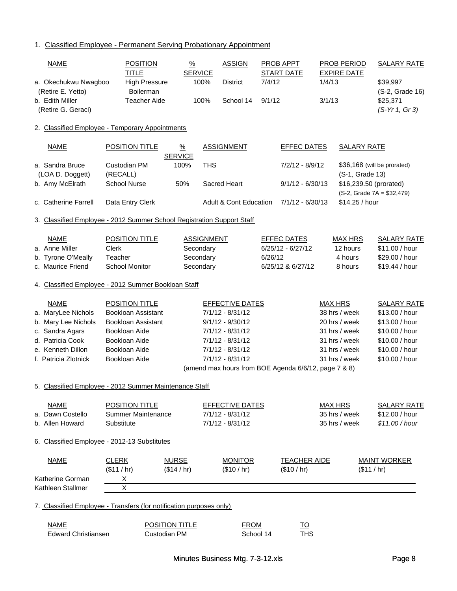1. Classified Employee - Permanent Serving Probationary Appointment

| <b>NAME</b>                                     | <b>POSITION</b>                                                        | $\frac{9}{6}$                   |                        | <b>ASSIGN</b>                     |         | PROB APPT                                            |        | PROB PERIOD            | <b>SALARY RATE</b>          |
|-------------------------------------------------|------------------------------------------------------------------------|---------------------------------|------------------------|-----------------------------------|---------|------------------------------------------------------|--------|------------------------|-----------------------------|
| a. Okechukwu Nwagboo<br>(Retire E. Yetto)       | <b>TITLE</b><br><b>High Pressure</b><br>Boilerman                      |                                 | <b>SERVICE</b><br>100% | <b>District</b>                   | 7/4/12  | <b>START DATE</b>                                    | 1/4/13 | <b>EXPIRE DATE</b>     | \$39,997<br>(S-2, Grade 16) |
| b. Edith Miller<br>(Retire G. Geraci)           | <b>Teacher Aide</b>                                                    |                                 | 100%                   | School 14                         | 9/1/12  |                                                      | 3/1/13 |                        | \$25,371<br>(S-Yr 1, Gr 3)  |
| 2. Classified Employee - Temporary Appointments |                                                                        |                                 |                        |                                   |         |                                                      |        |                        |                             |
| <b>NAME</b>                                     | <b>POSITION TITLE</b>                                                  | $\frac{9}{6}$<br><b>SERVICE</b> |                        | <b>ASSIGNMENT</b>                 |         | <b>EFFEC DATES</b>                                   |        | <b>SALARY RATE</b>     |                             |
| a. Sandra Bruce                                 | Custodian PM                                                           | 100%                            | <b>THS</b>             |                                   |         | 7/2/12 - 8/9/12                                      |        |                        | \$36,168 (will be prorated) |
| (LOA D. Doggett)                                | (RECALL)<br><b>School Nurse</b>                                        | 50%                             |                        | Sacred Heart                      |         | $9/1/12 - 6/30/13$                                   |        | (S-1, Grade 13)        |                             |
| b. Amy McElrath                                 |                                                                        |                                 |                        |                                   |         |                                                      |        | \$16,239.50 (prorated) | $(S-2, Grade 7A = $32,479)$ |
| c. Catherine Farrell                            | Data Entry Clerk                                                       |                                 |                        | <b>Adult &amp; Cont Education</b> |         | $7/1/12 - 6/30/13$                                   |        | \$14.25 / hour         |                             |
|                                                 | 3. Classified Employee - 2012 Summer School Registration Support Staff |                                 |                        |                                   |         |                                                      |        |                        |                             |
| <b>NAME</b>                                     | <b>POSITION TITLE</b>                                                  |                                 | <b>ASSIGNMENT</b>      |                                   |         | <b>EFFEC DATES</b>                                   |        | <b>MAX HRS</b>         | <b>SALARY RATE</b>          |
| a. Anne Miller                                  | Clerk                                                                  |                                 | Secondary              |                                   |         | $6/25/12 - 6/27/12$                                  |        | 12 hours               | \$11.00 / hour              |
| b. Tyrone O'Meally                              | Teacher                                                                |                                 | Secondary              |                                   | 6/26/12 |                                                      |        | 4 hours                | \$29.00 / hour              |
| c. Maurice Friend                               | <b>School Monitor</b>                                                  |                                 | Secondary              |                                   |         | 6/25/12 & 6/27/12                                    |        | 8 hours                | \$19.44 / hour              |
|                                                 | 4. Classified Employee - 2012 Summer Bookloan Staff                    |                                 |                        |                                   |         |                                                      |        |                        |                             |
| <b>NAME</b>                                     | <b>POSITION TITLE</b>                                                  |                                 |                        | EFFECTIVE DATES                   |         |                                                      |        | <b>MAX HRS</b>         | <b>SALARY RATE</b>          |
| a. MaryLee Nichols                              | Bookloan Assistant                                                     |                                 |                        | $7/1/12 - 8/31/12$                |         |                                                      |        | 38 hrs / week          | \$13.00 / hour              |
| b. Mary Lee Nichols                             | <b>Bookloan Assistant</b>                                              |                                 |                        | $9/1/12 - 9/30/12$                |         |                                                      |        | 20 hrs / week          | \$13.00 / hour              |
| c. Sandra Agars                                 | Bookloan Aide                                                          |                                 |                        | $7/1/12 - 8/31/12$                |         |                                                      |        | 31 hrs / week          | \$10.00 / hour              |
| d. Patricia Cook                                | Bookloan Aide                                                          |                                 |                        | $7/1/12 - 8/31/12$                |         |                                                      |        | 31 hrs / week          | \$10.00 / hour              |
| e. Kenneth Dillon                               | Bookloan Aide                                                          |                                 |                        | $7/1/12 - 8/31/12$                |         |                                                      |        | 31 hrs / week          | \$10.00 / hour              |
| f. Patricia Zlotnick                            | Bookloan Aide                                                          |                                 |                        | $7/1/12 - 8/31/12$                |         |                                                      |        | 31 hrs / week          | \$10.00 / hour              |
|                                                 |                                                                        |                                 |                        |                                   |         | (amend max hours from BOE Agenda 6/6/12, page 7 & 8) |        |                        |                             |
|                                                 | 5. Classified Emplovee - 2012 Summer Maintenance Staff                 |                                 |                        |                                   |         |                                                      |        |                        |                             |
| <b>NAME</b>                                     | <b>POSITION TITLE</b>                                                  |                                 |                        | <b>EFFECTIVE DATES</b>            |         |                                                      |        | <b>MAX HRS</b>         | <b>SALARY RATE</b>          |
| a. Dawn Costello                                | Summer Maintenance                                                     |                                 |                        | $7/1/12 - 8/31/12$                |         |                                                      |        | 35 hrs / week          | \$12.00 / hour              |
| b. Allen Howard                                 | Substitute                                                             |                                 |                        | $7/1/12 - 8/31/12$                |         |                                                      |        | 35 hrs / week          | \$11.00/hour                |
| 6. Classified Employee - 2012-13 Substitutes    |                                                                        |                                 |                        |                                   |         |                                                      |        |                        |                             |
| <b>NAME</b>                                     | <b>CLERK</b>                                                           | <b>NURSE</b>                    |                        | <b>MONITOR</b>                    |         | <b>TEACHER AIDE</b>                                  |        |                        | <b>MAINT WORKER</b>         |
|                                                 | (\$11/hr)                                                              | ( \$14 / hr)                    |                        | <u>(\$10 / hr)</u>                |         | (\$10 / hr)                                          |        |                        | (\$11 / hr)                 |
| Katherine Gorman                                | Х                                                                      |                                 |                        |                                   |         |                                                      |        |                        |                             |
| Kathleen Stallmer                               | $\sf X$                                                                |                                 |                        |                                   |         |                                                      |        |                        |                             |
|                                                 | 7. Classified Employee - Transfers (for notification purposes only)    |                                 |                        |                                   |         |                                                      |        |                        |                             |

NAME POSITION TITLE FROM TO Edward Christiansen Custodian PM School 14 THS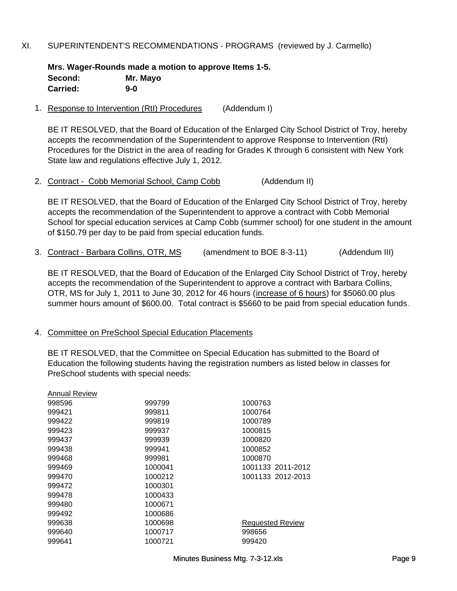## XI. SUPERINTENDENT'S RECOMMENDATIONS - PROGRAMS (reviewed by J. Carmello)

**Mrs. Wager-Rounds made a motion to approve Items 1-5. Second: Mr. Mayo Carried: 9-0**

1. Response to Intervention (RtI) Procedures (Addendum I)

BE IT RESOLVED, that the Board of Education of the Enlarged City School District of Troy, hereby accepts the recommendation of the Superintendent to approve Response to Intervention (RtI) Procedures for the District in the area of reading for Grades K through 6 consistent with New York State law and regulations effective July 1, 2012.

2. Contract - Cobb Memorial School, Camp Cobb (Addendum II)

BE IT RESOLVED, that the Board of Education of the Enlarged City School District of Troy, hereby accepts the recommendation of the Superintendent to approve a contract with Cobb Memorial School for special education services at Camp Cobb (summer school) for one student in the amount of \$150.79 per day to be paid from special education funds.

3. Contract - Barbara Collins, OTR, MS (amendment to BOE 8-3-11) (Addendum III)

BE IT RESOLVED, that the Board of Education of the Enlarged City School District of Troy, hereby BE IT RESOLVED, that the Board of Education of the Enlarged City School District of Troy, accepts the recommendation of the Superintendent to approve a contract with Barbara Collins, OTR, MS for July 1, 2011 to June 30, 2012 for 46 hours (increase of 6 hours) for \$5060.00 plus summer hours amount of \$600.00. Total contract is \$5660 to be paid from special education funds.

## 4. Committee on PreSchool Special Education Placements

BE IT RESOLVED, that the Committee on Special Education has submitted to the Board of Education the following students having the registration numbers as listed below in classes for PreSchool students with special needs:

| Annual Review |         |                         |
|---------------|---------|-------------------------|
| 998596        | 999799  | 1000763                 |
| 999421        | 999811  | 1000764                 |
| 999422        | 999819  | 1000789                 |
| 999423        | 999937  | 1000815                 |
| 999437        | 999939  | 1000820                 |
| 999438        | 999941  | 1000852                 |
| 999468        | 999981  | 1000870                 |
| 999469        | 1000041 | 1001133 2011-2012       |
| 999470        | 1000212 | 1001133 2012-2013       |
| 999472        | 1000301 |                         |
| 999478        | 1000433 |                         |
| 999480        | 1000671 |                         |
| 999492        | 1000686 |                         |
| 999638        | 1000698 | <b>Requested Review</b> |
| 999640        | 1000717 | 998656                  |
| 999641        | 1000721 | 999420                  |
|               |         |                         |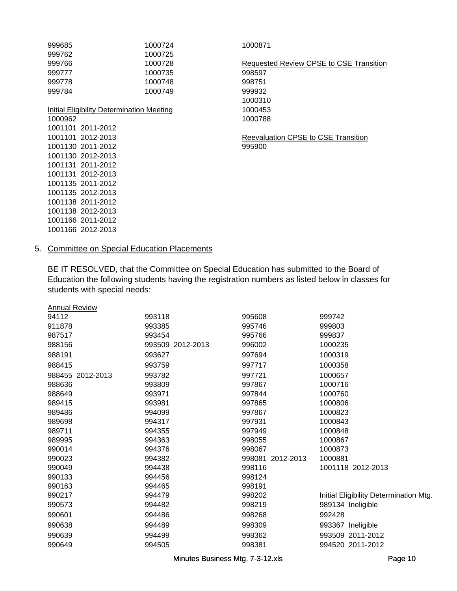| 999685  | 1000724                                   | 1000871                                    |
|---------|-------------------------------------------|--------------------------------------------|
| 999762  | 1000725                                   |                                            |
| 999766  | 1000728                                   | Requested Review CPSE to CSE Transition    |
| 999777  | 1000735                                   | 998597                                     |
| 999778  | 1000748                                   | 998751                                     |
| 999784  | 1000749                                   | 999932                                     |
|         |                                           | 1000310                                    |
|         | Initial Eligibility Determination Meeting | 1000453                                    |
| 1000962 |                                           | 1000788                                    |
|         | 1001101 2011-2012                         |                                            |
|         | 1001101 2012-2013                         | <b>Reevaluation CPSE to CSE Transition</b> |
|         | 1001130 2011-2012                         | 995900                                     |
|         | 1001130 2012-2013                         |                                            |
|         | 1001131 2011-2012                         |                                            |
|         | 1001131 2012-2013                         |                                            |
|         | 1001135 2011-2012                         |                                            |
|         | 1001135 2012-2013                         |                                            |
|         | 1001138 2011-2012                         |                                            |
|         | 1001138 2012-2013                         |                                            |
|         | 1001166 2011-2012                         |                                            |
|         | 1001166 2012-2013                         |                                            |

# 5. Committee on Special Education Placements

BE IT RESOLVED, that the Committee on Special Education has submitted to the Board of Education the following students having the registration numbers as listed below in classes for students with special needs:

| <b>Annual Review</b> |                  |                     |                                        |
|----------------------|------------------|---------------------|----------------------------------------|
| 94112                | 993118           | 995608              | 999742                                 |
| 911878               | 993385           | 995746              | 999803                                 |
| 987517               | 993454           | 995766              | 999837                                 |
| 988156               | 993509 2012-2013 | 996002              | 1000235                                |
| 988191               | 993627           | 997694              | 1000319                                |
| 988415               | 993759           | 997717              | 1000358                                |
| 988455 2012-2013     | 993782           | 997721              | 1000657                                |
| 988636               | 993809           | 997867              | 1000716                                |
| 988649               | 993971           | 997844              | 1000760                                |
| 989415               | 993981           | 997865              | 1000806                                |
| 989486               | 994099           | 997867              | 1000823                                |
| 989698               | 994317           | 997931              | 1000843                                |
| 989711               | 994355           | 997949              | 1000848                                |
| 989995               | 994363           | 998055              | 1000867                                |
| 990014               | 994376           | 998067              | 1000873                                |
| 990023               | 994382           | 2012-2013<br>998081 | 1000881                                |
| 990049               | 994438           | 998116              | 1001118 2012-2013                      |
| 990133               | 994456           | 998124              |                                        |
| 990163               | 994465           | 998191              |                                        |
| 990217               | 994479           | 998202              | Initial Eligibility Determination Mtg. |
| 990573               | 994482           | 998219              | 989134 Ineligible                      |
| 990601               | 994486           | 998268              | 992428                                 |
| 990638               | 994489           | 998309              | 993367<br>Ineligible                   |
| 990639               | 994499           | 998362              | 993509 2011-2012                       |
| 990649               | 994505           | 998381              | 994520 2011-2012                       |
|                      |                  |                     |                                        |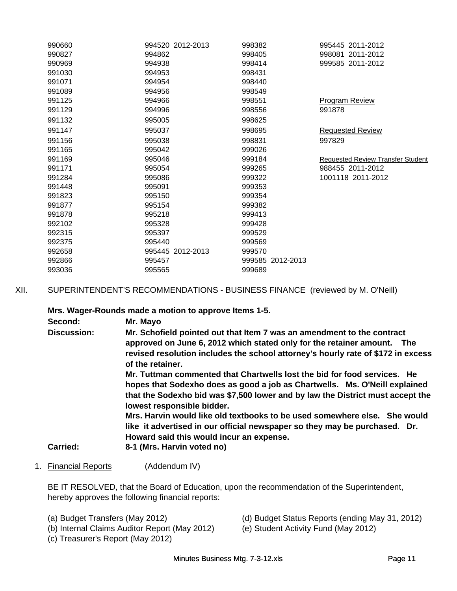| 990660 | 994520 2012-2013 | 998382           | 995445 2011-2012                         |
|--------|------------------|------------------|------------------------------------------|
| 990827 | 994862           | 998405           | 998081 2011-2012                         |
| 990969 | 994938           | 998414           | 999585 2011-2012                         |
| 991030 | 994953           | 998431           |                                          |
| 991071 | 994954           | 998440           |                                          |
| 991089 | 994956           | 998549           |                                          |
| 991125 | 994966           | 998551           | <b>Program Review</b>                    |
| 991129 | 994996           | 998556           | 991878                                   |
| 991132 | 995005           | 998625           |                                          |
| 991147 | 995037           | 998695           | <b>Requested Review</b>                  |
| 991156 | 995038           | 998831           | 997829                                   |
| 991165 | 995042           | 999026           |                                          |
| 991169 | 995046           | 999184           | <b>Requested Review Transfer Student</b> |
| 991171 | 995054           | 999265           | 988455 2011-2012                         |
| 991284 | 995086           | 999322           | 1001118 2011-2012                        |
| 991448 | 995091           | 999353           |                                          |
| 991823 | 995150           | 999354           |                                          |
| 991877 | 995154           | 999382           |                                          |
| 991878 | 995218           | 999413           |                                          |
| 992102 | 995328           | 999428           |                                          |
| 992315 | 995397           | 999529           |                                          |
| 992375 | 995440           | 999569           |                                          |
| 992658 | 995445 2012-2013 | 999570           |                                          |
| 992866 | 995457           | 999585 2012-2013 |                                          |
| 993036 | 995565           | 999689           |                                          |
|        |                  |                  |                                          |

XII. SUPERINTENDENT'S RECOMMENDATIONS - BUSINESS FINANCE (reviewed by M. O'Neill)

**Mrs. Wager-Rounds made a motion to approve Items 1-5.**

| Second:            | Mr. Mayo                                                                                                     |  |  |  |  |
|--------------------|--------------------------------------------------------------------------------------------------------------|--|--|--|--|
| <b>Discussion:</b> | Mr. Schofield pointed out that Item 7 was an amendment to the contract                                       |  |  |  |  |
|                    | approved on June 6, 2012 which stated only for the retainer amount. The                                      |  |  |  |  |
|                    | revised resolution includes the school attorney's hourly rate of \$172 in excess<br>of the retainer.         |  |  |  |  |
|                    | Mr. Tuttman commented that Chartwells lost the bid for food services. He                                     |  |  |  |  |
|                    | hopes that Sodexho does as good a job as Chartwells. Ms. O'Neill explained                                   |  |  |  |  |
|                    | that the Sodexho bid was \$7,500 lower and by law the District must accept the<br>lowest responsible bidder. |  |  |  |  |
|                    | Mrs. Harvin would like old textbooks to be used somewhere else. She would                                    |  |  |  |  |
|                    | like it advertised in our official newspaper so they may be purchased. Dr.                                   |  |  |  |  |
|                    | Howard said this would incur an expense.                                                                     |  |  |  |  |
| <b>Carried:</b>    | 8-1 (Mrs. Harvin voted no)                                                                                   |  |  |  |  |

1. Financial Reports (Addendum IV)

BE IT RESOLVED, that the Board of Education, upon the recommendation of the Superintendent, hereby approves the following financial reports:

- 
- (b) Internal Claims Auditor Report (May 2012)
- (c) Treasurer's Report (May 2012)
- (a) Budget Transfers (May 2012) (d) Budget Status Reports (ending May 31, 2012)<br>(b) Internal Claims Auditor Report (May 2012) (e) Student Activity Fund (May 2012)
	-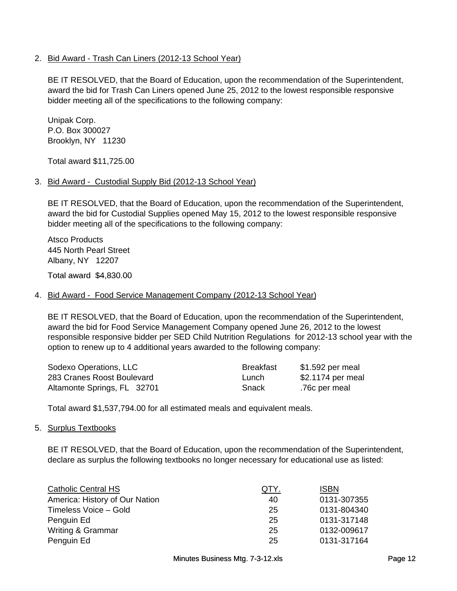## 2. Bid Award - Trash Can Liners (2012-13 School Year)

BE IT RESOLVED, that the Board of Education, upon the recommendation of the Superintendent, award the bid for Trash Can Liners opened June 25, 2012 to the lowest responsible responsive bidder meeting all of the specifications to the following company:

Unipak Corp. P.O. Box 300027 Brooklyn, NY 11230

Total award \$11,725.00

## 3. Bid Award - Custodial Supply Bid (2012-13 School Year)

BE IT RESOLVED, that the Board of Education, upon the recommendation of the Superintendent, award the bid for Custodial Supplies opened May 15, 2012 to the lowest responsible responsive bidder meeting all of the specifications to the following company:

Atsco Products 445 North Pearl Street Albany, NY 12207

Total award \$4,830.00

## 4. Bid Award - Food Service Management Company (2012-13 School Year)

BE IT RESOLVED, that the Board of Education, upon the recommendation of the Superintendent, award the bid for Food Service Management Company opened June 26, 2012 to the lowest responsible responsive bidder per SED Child Nutrition Regulations for 2012-13 school year with the option to renew up to 4 additional years awarded to the following company:

| Sodexo Operations, LLC      | Breakfast | \$1.592 per meal  |
|-----------------------------|-----------|-------------------|
| 283 Cranes Roost Boulevard  | Lunch     | \$2.1174 per meal |
| Altamonte Springs, FL 32701 | Snack     | .76c per meal     |

Total award \$1,537,794.00 for all estimated meals and equivalent meals.

## 5. Surplus Textbooks

BE IT RESOLVED, that the Board of Education, upon the recommendation of the Superintendent, declare as surplus the following textbooks no longer necessary for educational use as listed:

| <b>Catholic Central HS</b>     | QTY. | <b>ISBN</b> |
|--------------------------------|------|-------------|
| America: History of Our Nation | 40   | 0131-307355 |
| Timeless Voice - Gold          | 25   | 0131-804340 |
| Penguin Ed                     | 25   | 0131-317148 |
| Writing & Grammar              | 25   | 0132-009617 |
| Penguin Ed                     | 25   | 0131-317164 |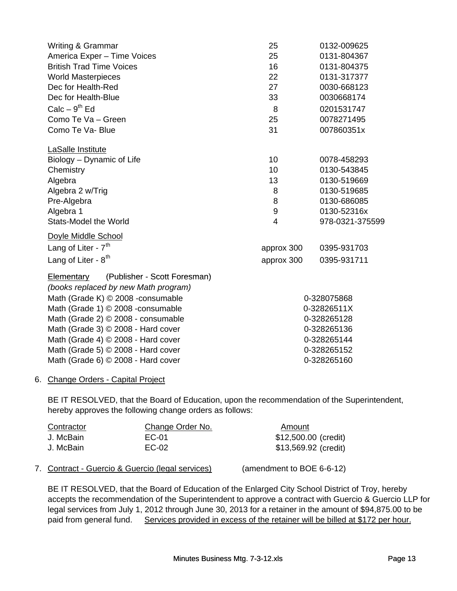| Writing & Grammar<br>America Exper - Time Voices<br><b>British Trad Time Voices</b><br><b>World Masterpieces</b><br>Dec for Health-Red<br>Dec for Health-Blue<br>$Calc - 9th Ed$<br>Como Te Va - Green<br>Como Te Va- Blue                                                                                                                                  | 25<br>25<br>16<br>22<br>27<br>33<br>8<br>25<br>31 | 0132-009625<br>0131-804367<br>0131-804375<br>0131-317377<br>0030-668123<br>0030668174<br>0201531747<br>0078271495<br>007860351x |
|-------------------------------------------------------------------------------------------------------------------------------------------------------------------------------------------------------------------------------------------------------------------------------------------------------------------------------------------------------------|---------------------------------------------------|---------------------------------------------------------------------------------------------------------------------------------|
| LaSalle Institute<br>Biology - Dynamic of Life<br>Chemistry<br>Algebra<br>Algebra 2 w/Trig                                                                                                                                                                                                                                                                  | 10<br>10<br>13<br>8<br>8                          | 0078-458293<br>0130-543845<br>0130-519669<br>0130-519685<br>0130-686085                                                         |
| Pre-Algebra<br>Algebra 1<br><b>Stats-Model the World</b>                                                                                                                                                                                                                                                                                                    | 9<br>$\overline{4}$                               | 0130-52316x<br>978-0321-375599                                                                                                  |
| Doyle Middle School<br>Lang of Liter - $7th$<br>Lang of Liter - $8^{th}$                                                                                                                                                                                                                                                                                    | approx 300<br>approx 300                          | 0395-931703<br>0395-931711                                                                                                      |
| (Publisher - Scott Foresman)<br>Elementary<br>(books replaced by new Math program)<br>Math (Grade K) © 2008 -consumable<br>Math (Grade 1) © 2008 - consumable<br>Math (Grade 2) © 2008 - consumable<br>Math (Grade 3) © 2008 - Hard cover<br>Math (Grade 4) © 2008 - Hard cover<br>Math (Grade 5) © 2008 - Hard cover<br>Math (Grade 6) © 2008 - Hard cover |                                                   | 0-328075868<br>0-32826511X<br>0-328265128<br>0-328265136<br>0-328265144<br>0-328265152<br>0-328265160                           |

## 6. Change Orders - Capital Project

BE IT RESOLVED, that the Board of Education, upon the recommendation of the Superintendent, hereby approves the following change orders as follows:

| Contractor | Change Order No.                                 | Amount                    |
|------------|--------------------------------------------------|---------------------------|
| J. McBain  | EC-01                                            | \$12,500.00 (credit)      |
| J. McBain  | $EC-02$                                          | \$13,569.92 (credit)      |
|            | 7. Contract - Guercio & Guercio (legal services) | (amendment to BOE 6-6-12) |

BE IT RESOLVED, that the Board of Education of the Enlarged City School District of Troy, hereby accepts the recommendation of the Superintendent to approve a contract with Guercio & Guercio LLP for legal services from July 1, 2012 through June 30, 2013 for a retainer in the amount of \$94,875.00 to be paid from general fund. Services provided in excess of the retainer will be billed at \$172 per hour.